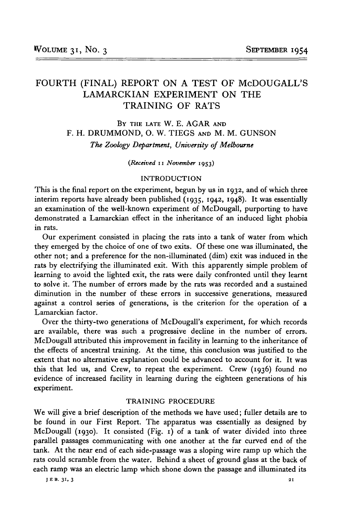# FOURTH (FINAL) REPORT ON A TEST OF McDOUGALL'S LAMARCKIAN EXPERIMENT ON THE TRAINING OF RATS

BY THE LATE W. E. AGAR AND F. H. DRUMMOND, O. W. TIEGS AND M. M. GUNSON *The Zoology Department, University of Melbourne*

*(Received* n *November* 1953)

### INTRODUCTION

This is the final report on the experiment, begun by us in 1932, and of which three interim reports have already been published (1935, 1942, 1948). It was essentially an examination of the well-known experiment of McDougall, purporting to have demonstrated a Lamarckian effect in the inheritance of an induced light phobia in rats.

Our experiment consisted in placing the rats into a tank of water from which they emerged by the choice of one of two exits. Of these one was illuminated, the other not; and a preference for the non-illuminated (dim) exit was induced in the rats by electrifying the illuminated exit. With this apparently simple problem of learning to avoid the lighted exit, the rats were daily confronted until they learnt to solve it. The number of errors made by the rats was recorded and a sustained diminution in the number of these errors in successive generations, measured against a control series of generations, is the criterion for the operation of a Lamarckian factor.

Over the thirty-two generations of McDougall's experiment, for which records are available, there was such a progressive decline in the number of errors. McDougall attributed this improvement in facility in learning to the inheritance of the effects of ancestral training. At the time, this conclusion was justified to the extent that no alternative explanation could be advanced to account for it. It was this that led us, and Crew, to repeat the experiment. Crew (1936) found no evidence of increased facility in learning during the eighteen generations of his experiment.

### TRAINING PROCEDURE

We will give a brief description of the methods we have used; fuller details are to be found in our First Report. The apparatus was essentially as designed by McDougall (1930). It consisted (Fig. 1) of a tank of water divided into three parallel passages communicating with one another at the far curved end of the tank. At the near end of each side-passage was a sloping wire ramp up which the rats could scramble from the water. Behind a sheet of ground glass at the back of each ramp was an electric lamp which shone down the passage and illuminated its

**JEB . 31, 3 21**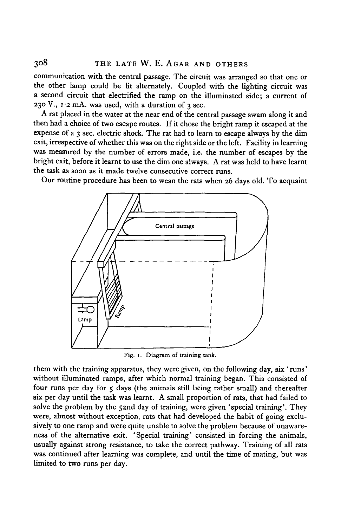communication with the central passage. The circuit was arranged so that one or the other lamp could be lit alternately. Coupled with the lighting circuit was a second circuit that electrified the ramp on the illuminated side; a current of 230 V.,  $1.2$  mA. was used, with a duration of  $3$  sec.

A rat placed in the water at the near end of the central passage swam along it and then had a choice of two escape routes. If it chose the bright ramp it escaped at the expense of a 3 sec. electric shock. The rat had to learn to escape always by the dim exit, irrespective of whether this was on the right side or the left. Facility in learning was measured by the number of errors made, i.e. the number of escapes by the bright exit, before it learnt to use the dim one always. A rat was held to have learnt the task as soon as it made twelve consecutive correct runs.

Our routine procedure has been to wean the rats when 26 days old. To acquaint



Fig. 1. Diagram of training tank.

them with the training apparatus, they were given, on the following day, six 'runs' without illuminated ramps, after which normal training began. This consisted of four runs per day for  $\varsigma$  days (the animals still being rather small) and thereafter six per day until the task was learnt. A small proportion of rats, that had failed to solve the problem by the 52nd day of training, were given 'special training'. They were, almost without exception, rats that had developed the habit of going exclusively to one ramp and were quite unable to solve the problem because of unawareness of the alternative exit. 'Special training' consisted in forcing the animals, usually against strong resistance, to take the correct pathway. Training of all rats was continued after learning was complete, and until the time of mating, but was limited to two runs per day.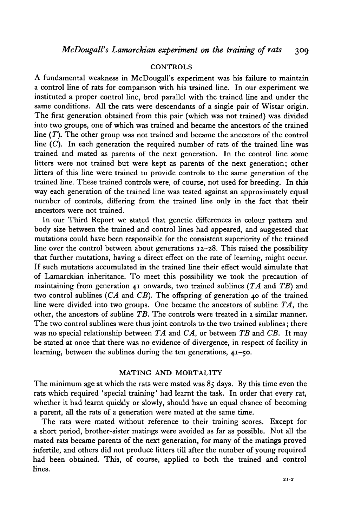### CONTROLS

A fundamental weakness in McDougall's experiment was his failure to maintain a control line of rats for comparison with his trained line. In our experiment we instituted a proper control line, bred parallel with the trained line and under the same conditions. All the rats were descendants of a single pair of Wistar origin. The first generation obtained from this pair (which was not trained) was divided into two groups, one of which was trained and became the ancestors of the trained line (*T).* The other group was not trained and became the ancestors of the control line  $(C)$ . In each generation the required number of rats of the trained line was trained and mated as parents of the next generation. In the control line some litters were not trained but were kept as parents of the next generation; other litters of this line were trained to provide controls to the same generation of the trained line. These trained controls were, of course, not used for breeding. In this way each generation of the trained line was tested against an approximately equal number of controls, differing from the trained line only in the fact that their ancestors were not trained.

In our Third Report we stated that genetic differences in colour pattern and body size between the trained and control lines had appeared, and suggested that mutations could have been responsible for the consistent superiority of the trained line over the control between about generations 12-28. This raised the possibility that further mutations, having a direct effect on the rate of learning, might occur. If such mutations accumulated in the trained line their effect would simulate that of Lamarckian inheritance. To meet this possibility we took the precaution of maintaining from generation 41 onwards, two trained sublines *(TA* and *TB)* and two control sublines *(CA* and *CB).* The offspring of generation 40 of the trained line were divided into two groups. One became the ancestors of subline *TA,* the other, the ancestors of subline *TB.* The controls were treated in a similar manner. The two control sublines were thus joint controls to the two trained sublines; there was no special relationship between *TA* and *CA,* or between *TB* and *CB.* It may be stated at once that there was no evidence of divergence, in respect of facility in learning, between the sublines during the ten generations, 41-50.

### MATING AND MORTALITY

The minimum age at which the rats were mated was 85 days. By this time even the rats which required ' special training' had learnt the task. In order that every rat, whether it had learnt quickly or slowly, should have an equal chance of becoming a parent, all the rats of a generation were mated at the same time.

The rats were mated without reference to their training scores. Except for a short period, brother-sister matings were avoided as far as possible. Not all the mated rats became parents of the next generation, for many of the matings proved infertile, and others did not produce litters till after the number of young required had been obtained. This, of course, applied to both the trained and control lines.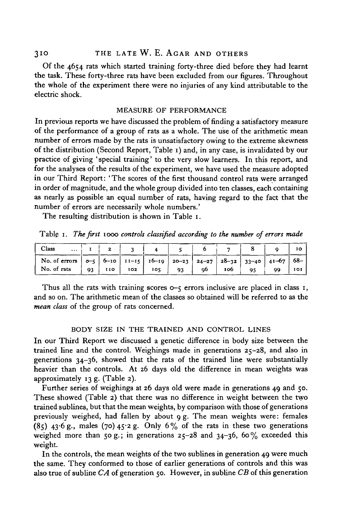Of the 4654 rats which started training forty-three died before they had learnt the task. These forty-three rats have been excluded from our figures. Throughout the whole of the experiment there were no injuries of any kind attributable to the electric shock.

### MEASURE OF PERFORMANCE

In previous reports we have discussed the problem of finding a satisfactory measure of the performance of a group of rats as a whole. The use of the arithmetic mean number of errors made by the rats is unsatisfactory owing to the extreme skewness of the distribution (Second Report, Table 1) and, in any case, is invalidated by our practice of giving 'special training' to the very slow learners. In this report, and for the analyses of the results of the experiment, we have used the measure adopted in our Third Report: 'The scores of the first thousand control rats were arranged in order of magnitude, and the whole group divided into ten classes, each containing as nearly as possible an equal number of rats, having regard to the fact that the number of errors are necessarily whole numbers.'

The resulting distribution is shown in Table 1.

Table 1. *The first* 1000 *controls classified according to the number of errors made*

| Class<br>$\ddotsc$                                                                                                                                  |    |            |     |     |    |     |  |           |
|-----------------------------------------------------------------------------------------------------------------------------------------------------|----|------------|-----|-----|----|-----|--|-----------|
| No. of errors $\vert 0^{-5} \vert 0^{-10} \vert 11^{-15} \vert 10^{-19} \vert 20^{-23} \vert 24^{-27} \vert 28^{-32} \vert 33^{-40} \vert 41^{-67}$ |    |            |     |     |    |     |  | $168 - 7$ |
| No. of rats                                                                                                                                         | 93 | <b>IIO</b> | 102 | 105 | ob | 100 |  | 101       |

Thus all the rats with training scores o-5 errors inclusive are placed in class 1, and so on. The arithmetic mean of the classes so obtained will be referred to as the *mean class* of the group of rats concerned.

## BODY SIZE IN THE TRAINED AND CONTROL LINES

In our Third Report we discussed a genetic difference in body size between the trained line and the control. Weighings made in generations 25-28, and also in generations 34-36, showed that the rats of the trained line were substantially heavier than the controls. At 26 days old the difference in mean weights was approximately 13 g. (Table 2).

Further series of weighings at 26 days old were made in generations 49 and 50. These showed (Table 2) that there was no difference in weight between the two trained sublines, but that the mean weights, by comparison with those of generations previously weighed, had fallen by about 9 g. The mean weights were: females  $(85)$  43.6 g., males (70) 45.2 g. Only 6% of the rats in these two generations weighed more than 50 g.; in generations  $25-28$  and  $34-36$ ,  $60\%$  exceeded this weight.

In the controls, the mean weights of the two sublines in generation 49 were much the same. They conformed to those of earlier generations of controls and this was also true of subline *CA* of generation 50. However, in subline *CB* of this generation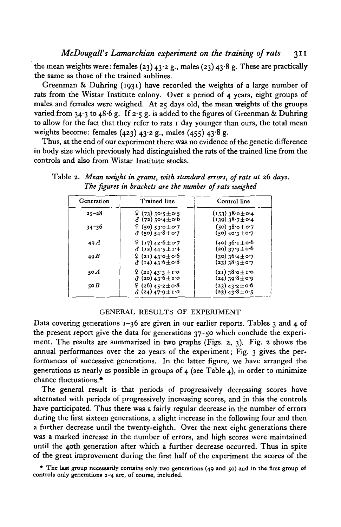*McDougall's Lamarckian experiment on the training of rats* 311

the mean weights were: females (23)  $43.2$  g., males (23)  $43.8$  g. These are practically the same as those of the trained sublines.

Greenman & Duhring  $(1931)$  have recorded the weights of a large number of rats from the Wistar Institute colony. Over a period of 4 years, eight groups of males and females were weighed. At 25 days old, the mean weights of the groups varied from 34.3 to 48.6 g. If  $2.5$  g. is added to the figures of Greenman & Duhring to allow for the fact that they refer to rats 1 day younger than ours, the total mean weights become: females  $(423)$   $43.2$  g., males  $(455)$   $43.8$  g.

Thus, at the end of our experiment there was no evidence of the genetic difference in body size which previously had distinguished the rats of the trained line from the controls and also from Wistar Institute stocks.

| Generation | Trained line                                         | Control line                                                       |  |  |
|------------|------------------------------------------------------|--------------------------------------------------------------------|--|--|
| $25 - 28$  | $9(73)$ 50.5 $\pm$ 0.5 $\,$<br>δ (72) 50.4 $\pm$ 0.6 | $(153)$ 38.0 $\pm$ 0.4<br>$(139)38.7 \pm 0.4$                      |  |  |
| $34 - 36$  | ♀ (50) 53.0±0.7<br>$3(50)54.8 \pm 0.7$               | $(50)$ $38.0 + 0.7$<br>$(50)$ 40.3 ± 0.7                           |  |  |
| 49A        | $9(17)42.6 \pm 0.7$<br>$\delta$ (12) 44.5 ± 1.4      | (40) 36∙1±0∙6<br>(29) 37 <sup>.</sup> 9±0 <sup>.</sup> 6           |  |  |
| 49B        | $9(21)43.0 \pm 0.6$<br>$\delta$ (14) 43.6 ± 0.8      | $(30)$ $36.4 \pm 0.7$<br>(23) $38.3 \pm 0.7$                       |  |  |
| 50 A       | $9(21)433 \pm 10$<br>$\delta$ (20) 43.6 ± 1.0        | $(21)$ 38.0 ± 1.0<br>$(24)$ 39.8 ± 0.9                             |  |  |
| 50B        | $9(26)45.2 \pm 0.8$<br>$\delta$ (24) 47.9 ± 1.0      | (23) 43 <sup>.</sup> 2 $\pm$ 0 <sup>.</sup> 6<br>$(23)$ 43.8 ± 0.5 |  |  |

Table 2. *Mean weight in grams, with standard errors, of rats at* 26 *days. The figures in brackets are the number of rats weighed*

### GENERAL RESULTS OF EXPERIMENT

Data covering generations  $1-36$  are given in our earlier reports. Tables 3 and 4 of the present report give the data for generations 37-50 which conclude the experiment. The results are summarized in two graphs (Figs. 2, 3). Fig. 2 shows the annual performances over the 20 years of the experiment; Fig. 3 gives the performances of successive generations. In the latter figure, we have arranged the generations as nearly as possible in groups of 4 (see Table 4), in order to minimize chance fluctuations.\*

The general result is that periods of progressively decreasing scores have alternated with periods of progressively increasing scores, and in this the controls have participated. Thus there was a fairly regular decrease in the number of errors during the first sixteen generations, a slight increase in the following four and then a further decrease until the twenty-eighth. Over the next eight generations there was a marked increase in the number of errors, and high scores were maintained until the 40th generation after which a further decrease occurred. Thus in spite of the great improvement during the first half of the experiment the scores of the

<sup>•</sup> The last group necessarily contains only two generations (49 and 50) and in the first group of controls only generations 2-4 are, of course, included.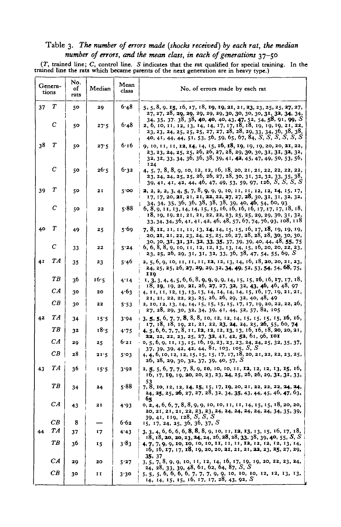## Table 3. The number of errors made (shocks received) by each rat, the median number of errors, and the mean class, in each of generations  $37-50$

 $(T,$  trained line;  $C$ , control line.  $S$  indicates that the rat qualified for special training. In the trained line the rats which became parents of the next generation are in heavy type.)

|    | Genera-<br>tions |    | Median | Mean<br>class | No. of errors made by each rat                                                                                                                                                                                  |
|----|------------------|----|--------|---------------|-----------------------------------------------------------------------------------------------------------------------------------------------------------------------------------------------------------------|
| 37 | Т                | 50 | 20     | 6.48          | 5, 5, 8, 9, 15, 16, 17, 18, 19, 19, 21, 21, 23, 23, 25, 25, 27, 27,<br>27, 27, 28, 29, 29, 29, 29, 29, 30, 30, 30, 30, 31, 32, 34, 34,<br>34, 35, 37, 38, 38, 40, 40, 40, 43, 47, 52, 54, 58, 91, 99, S         |
|    | с                | 50 | 27.5   | 6.48          | 2, 6, 10, 11, 12, 13, 14, 14, 17, 17, 18, 18, 19, 19, 19, 21, 22,<br>23, 23, 24, 25, 25, 25, 27, 27, 28, 28, 29, 33, 34, 36, 38, 38,<br>40, 41, 44, 44, 51, 53, 56, 59, 65, 67, 84, S, S, S, S, S, S            |
| 38 | Т                | 50 | 27.5   | 6.16          | 9, 10, 11, 11, 12, 14, 14, 15, 16, 18, 19, 19, 19, 20, 20, 21, 22,<br>23, 23, 24, 25, 25, 26, 26, 27, 28, 29, 30, 30, 31, 31, 32, 32,<br>32, 32, 33, 34, 36, 36, 38, 39, 41, 42, 45, 47, 49, 50, 53, 56,<br>124 |
|    | С                | 50 | 26.5   | 6.32          | 4, 5, 7, 8, 8, 9, 10, 12, 12, 16, 18, 20, 21, 21, 22, 22, 22, 22,<br>23, 24, 24, 25, 25, 26, 26, 27, 28, 30, 31, 32, 32, 33, 35, 38,<br>39, 41, 41, 42, 44, 46, 47, 49, 53, 59, 97, 126, S, S, S, S             |
| 39 | Т                | 50 | 21     | $5'$ 00       | <b>2</b> , 2, 2, 3, 4, 5, 7, 8, 9, 9, 9, 10, 11, 11, 12, 12, 14, 15, 17,<br>17, 17, 20, 21, 21, 21, 22, 22, 27, 27, 28, 30, 31, 31, 32, 32,<br>34, 34, 35, 36, 36, 38, 38, 38, 39, 40, 46, 54, 60, 93           |
|    | $\boldsymbol{C}$ | 50 | 22     | 5.88          | 6, 8, 9, 11, 13, 14, 14, 15, 15, 16, 16, 16, 16, 17, 17, 17, 18, 18,<br>18, 19, 19, 21, 21, 21, 22, 22, 23, 25, 25, 29, 29, 30, 31, 32,<br>33, 34, 34, 36, 41, 41, 42, 46, 48, 57, 67, 74, 76, 93, 108, 118     |
| 40 | Т                | 49 | 25     | 5.69          | 7, 8, 11, 11, 11, 11, 13, 14, 14, 15, 15, 16, 17, 18, 19, 19, 19,<br>20, 21, 21, 22, 23, 24, 25, 25, 26, 27, 28, 28, 28, 30, 30, 30,<br>30, 30, 31, 31, 31, 32, 33, 35, 37, 39, 39, 40, 44, 48, 55, 75          |
|    | С                | 33 | 22     | 5.24          | 6, 6, 8, 8, 9, 10, 11, 12, 12, 13, 13, 14, 15, 16, 20, 20, 22, 23,<br>23, 25, 26, 29, 31, 31, 32, 33, 36, 38, 47, 54, 55, 69, S                                                                                 |
| 41 | TA               | 35 | 23     | 5.46          | 2, 5, 6, 9, 10, 11, 11, 11, 12, 12, 13, 14, 16, 18, 20, 20, 21, 23,<br>24, 25, 25, 26, 27, 29, 29, 32, 34, 49, 52, 53, 54, 54, 68, 75,<br><b>IIQ</b>                                                            |
|    | TB               | 36 | 16.5   | 4.14          | 1, 3, 3, 4, 4, 5, 6, 6, 8, 9, 9, 9, 9, 14, 15, 15, 16, 16, 17, 17, 18,<br>$18, 19, 19, 20, 21, 26, 27, 27, 32, 32, 43, 46, 46, 48, 97$                                                                          |
|    | CA               | 30 | 20     | 4.63          | 4, 11, 11, 12, 13, 13, 13, 14, 14, 14, 14, 15, 16, 17, 19, 21, 21,<br>21, 21, 22, 22, 23, 25, 26, 26, 29, 32, 40, 48, 49                                                                                        |
|    | CB               | 30 | 22     | 5.53          | 2, 10, 12, 13, 14, 14, 15, 15, 15, 15, 17, 17, 19, 20, 22, 22, 26,<br>27, 28, 29, 30, 32, 34, 39, 41, 44, 52, 57, 82, 105                                                                                       |
| 42 | TA               | 34 | 15.5   | 3.94          | $\frac{1}{1}$ 3, 5, 5, 6, 7, 7, 8, 8, 8, 10, 12, 12, 14, 15, 15, 15, 15, 16, 16,<br>17, 18, 18, 19, 21, 21, 22, 23, 24, 24, 25, 26, 55, 60, 74                                                                  |
|    | T B              | 32 | 18.5   | 4.75          | 4, 5, 6, 6, 7, 7, 8, 11, 12, 12, 12, 13, 13, 16, 16, 18, 20, 20, 21,<br>22, 22, 22, 23, 25, 27, 32, 41, 42, 52, 61, 96, 101                                                                                     |
|    | CA               | 29 | 25     | 6.21          | 0, 5, 6, 9, 11, 13, 15, 16, 19, 23, 23, 23, 24, 24, 25, 32, 35, 37,<br>37, 39, 39, 42, 42, 44, 81, 103, 105, S, S                                                                                               |
|    | CB               | 28 | 21.5   | 5.03          | 4, 4, 6, 10, 12, 12, 15, 15, 15, 17, 17, 18, 20, 21, 22, 22, 23, 25,<br>26, 28, 29, 30, 32, 37, 39, 40, 57, $S$                                                                                                 |
| 43 | TА               | 36 | 15.5   | 3.92          | 2, 5, 5, 6, 7, 7, 7, 8, 9, 10, 10, 10, 11, 12, 12, 12, 13, 15, 16,<br>$16, 17, 19, 19, 20, 20, 23, 23, 24, 25, 26, 26, 29, 31, 31, 33,$<br>53                                                                   |
|    | TВ               | 34 | 24     | 5.88          | 7, 8, 10, 12, 12, 14, 15, 15, 17, 19, 20, 21, 22, 22, 22, 24, 24,<br>$24, 25, 25, 26, 27, 27, 28, 32, 34, 35, 43, 44, 45, 46, 47, 63,$<br>65                                                                    |
|    | CA               | 43 | 21     | 4.93          | $0, 2, 4, 6, 6, 7, 8, 8, 9, 9, 10, 10, 11, 11, 14, 15, 15, 18, 20, 20,$<br>20, 21, 21, 21, 22, 23, 23, 24, 24, 24, 24, 24, 24, 34, 35, 39,<br>39, 41, 119, 128, S, S, S                                         |
|    | CB               | 8  |        | 6.62          | 15, 17, 24, 25, 36, 36, 37, S                                                                                                                                                                                   |
| 44 | TA               | 37 | 17     | 4.43          | 3, 3, 4, 6, 6, 6, 8, 8, 8, 9, 10, 11, 12, 13, 13, 15, 16, 17, 18,<br>18, 18, 20, 20, 23, 24, 24, 26, 28, 28, 33, 38, 39, 40, 55, S, S                                                                           |
|    | TВ               | 36 | 15     | 3.83          | 4, 7, 7, 9, 9, 10, 10, 10, 10, 11, 11, 11, 12, 12, 12, 13, 14,<br>$16, 16, 17, 17, 18, 19, 20, 20, 21, 21, 21, 22, 23, 25, 27, 29,$                                                                             |
|    | CA               | 29 | 20     | 5.27          | 35, 37<br>3, 5, 7, 8, 9, 9, 10, 11, 12, 14, 16, 17, 19, 19, 20, 22, 23, 24,<br>24, 28, 33, 39, 48, 61, 62, 64, 87, S, S                                                                                         |
|    | CВ               | 30 | 11     | 3.30          | 5, 5, 5, 6, 6, 6, 6, 7, 7, 7, 9, 9, 10, 10, 10, 12, 12, 13, 13,<br>14, 14, 15, 15, 16, 17, 17, 28, 43, 92, S                                                                                                    |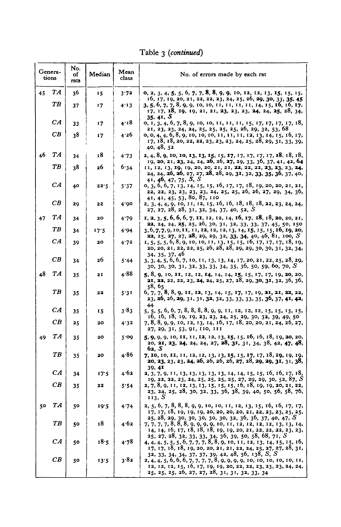Table 3 *(continued)*

|    | Genera-<br>tions | No.<br>of<br>rats | Median | Mean<br>class | No. of errors made by each rat                                                                                                                                                                                                                |
|----|------------------|-------------------|--------|---------------|-----------------------------------------------------------------------------------------------------------------------------------------------------------------------------------------------------------------------------------------------|
| 45 | TА               | 36                | 15     | 3.72          | 0, 2, 3, 4, 5, 5, 6, 7, 7, 8, 8, 9, 9, 10, 12, 12, 13, 15, 15, 15,<br>16, 17, 19, 20, 21, 22, 22, 23, 24, 25, 26, 29, 30, 33, 35, 45                                                                                                          |
|    | TВ               | 37                | 17     | 4.13          | 3, 5, 6, 7, 7, 8, 9, 9, 10, 10, 11, 11, 11, 11, 14, 15, 16, 16, 17,<br>17, 17, 18, 19, 19, 21, 21, 23, 23, 23, 24, 24, 25, 28, 34,                                                                                                            |
|    | CA               | 33                | 17     | 4.18          | 35. 41, S<br>0, 1, 3, 4, 6, 7, 8, 9, 10, 10, 11, 11, 11, 15, 17, 17, 17, 17, 18,<br>21, 23, 23, 24, 24, 25, 25, 25, 25, 26, 29, 32, 53, 68                                                                                                    |
|    | CB               | 38                | 17     | 4.26          | 0, 0, 4, 4, 6, 8, 9, 10, 10, 10, 11, 11, 11, 12, 13, 14, 15, 16, 17,<br>$17, 18, 18, 20, 22, 22, 23, 23, 23, 24, 25, 28, 29, 31, 33, 39,$<br>40, 48, 52                                                                                       |
| 46 | TA               | 34                | 18     | 4.73          | 2, 4, 8, 9, 10, 10, 13, 13, 15, 15, 17, 17, 17, 17, 17, 18, 18, 18,<br>19, 20, 21, 23, 24, 24, 26, 26, 27, 29, 33, 36, 37, 41, 42, 64                                                                                                         |
|    | TB               | 38                | 26     | 6.34          | 11, 12, 13, 19, 19, 20, 20, 21, 21, 22, 22, 22, 23, 23, 23, 24,<br>24, 24, 26, 26, 27, 27, 28, 28, 29, 31, 32, 33, 35, 36, 37, 40,<br>41, 46, 47, 75, S, S                                                                                    |
|    | CA               | 40                | 22.5   | 5.37          | 0, 3, 6, 6, 7, 13, 14, 15, 15, 16, 17, 17, 18, 19, 20, 20, 21, 21,<br>22, 22, 23, 23, 23, 23, 24, 25, 25, 26, 26, 27, 29, 34, 36,<br>41, 41, 45, 53, 80, 87, 110                                                                              |
|    | CB               | 20                | 22     | 4.00          | 2, 3, 4, 4, 9, 10, 11, 12, 15, 16, 16, 18, 18, 18, 22, 23, 24, 24,<br>27, 27, 28, 28, 31, 32, 34, 37, 40, 52, S                                                                                                                               |
| 47 | TА               | 34                | 20     | 4.79          | 1, 2, 3, 5, 6, 6, 6, 7, 11, 12, 12, 14, 16, 17, 18, 18, 20, 20, 21,<br>22, 24, 24, 25, 25, 26, 30, 31, 32, 33, 33, 37, 45, 50, 150                                                                                                            |
|    | TВ               | 34                | 17.5   | 4.94          | 3, 6, 7, 7, 9, 10, 11, 11, 12, 12, 12, 13, 14, 15, 15, 15, 16, 19, 20,<br><b>22</b> , 25, 27, 27, 28, 29, 29, 32, 33, 34, 40, 46, 81, 100, S                                                                                                  |
|    | СA               | 39                | 20     | 4.72          | 1, 5, 5, 5, 6, 8, 9, 10, 10, 11, 13, 15, 15, 16, 17, 17, 17, 18, 19,<br>20, 20, 21, 22, 22, 25, 26, 28, 28, 29, 29, 30, 30, 31, 32, 34,                                                                                                       |
|    | CВ               | 34                | 26     | 5.44          | 34, 35, 37, 46<br>3, 3, 4, 5, 6, 6, 7, 10, 11, 13, 13, 14, 17, 20, 21, 22, 25, 28, 29,<br>30, 30, 30, 31, 32, 33, 33, 34, 35, 36, 50, 59, 60, 70, S                                                                                           |
| 48 | TA               | 35                | 21     | 4.88          | 5, 8, 9, 10, 11, 12, 12, 14, 14, 14, 15, 15, 17, 17, 19, 20, 20,<br>21, 22, 22, 23, 24, 24, 25, 27, 28, 29, 30, 31, 32, 36, 36,<br>58, 65                                                                                                     |
|    | TВ               | 35                | 22     | 5.31          | 6, 7, 7, 8, 8, 9, 11, 12, 13, 14, 15, 17, 17, 19, 21, 21, 22, 22,<br>23, 26, 26, 29, 31, 31, 32, 32, 33, 33, 33, 35, 36, 37, 41, 42,<br>44                                                                                                    |
|    | CА               | 35                | 15     | 3.83          | 5, 5, 5, 6, 6, 7, 8, 8, 8, 8, 9, 9, 11, 12, 12, 12, 15, 15, 15, 15,<br>$16, 16, 18, 19, 19, 23, 23, 24, 25, 29, 30, 32, 39, 49, 50$                                                                                                           |
|    | CB               | 25                | 20     | 4.32          | 7, 8, 8, 9, 9, 10, 12, 13, 14, 16, 17, 18, 20, 20, 21, 24, 26, 27,<br>27, 29, 31, 53, 91, 110, 111                                                                                                                                            |
| 49 | TA               | 35                | 20     | 5.09          | 5, 9, 9, 9, 10, 11, 11, 12, 12, 13, 15, 15, 16, 16, 18, 19, 20, 20,<br>20, 21, 23, 24, 24, 24, 27, 28, 31, 31, 34, 38, 42, 47, 48,<br>62, S                                                                                                   |
|    | TВ               | 35                | 20     | 4.86          | 7, 10, 10, 11, 11, 12, 12, 13, 13, 15, 15, 17, 17, 18, 19, 19, 19,<br>20, 23, 23, 23, 24, 26, 26, 26, 26, 27, 28, 29, 29, 31, 31, 38,<br>39.4I                                                                                                |
|    | CA               | 34                | 17.5   | 4.62          | 2, 3, 7, 9, 11, 13, 13, 13, 13, 13, 14, 14, 15, 15, 16, 16, 17, 18,<br>19, 22, 22, 23, 24, 25, 25, 25, 25, 27, 29, 29, 30, 52, 87, S                                                                                                          |
|    | CB               | 35                | 22     | 5.54          | 2, 7, 8, 9, 11, 12, 13, 13, 15, 15, 15, 16, 18, 19, 19, 20, 21, 22,<br>23, 24, 25, 28, 30, 32, 33, 36, 38, 39, 40, 50, 56, 58, 76,<br>112. S                                                                                                  |
| 50 | T A              | 50                | 19.5   | 4.74          | 2, 5, 6, 7, 8, 8, 8, 9, 9, 10, 10, 11, 12, 13, 15, 16, 16, 17, 17,<br>17, 17, 18, 19, 19, 19, 20, 20, 20, 20, 21, 22, 23, 23, 25, 25,                                                                                                         |
|    | TB               | 50                | 18     | 4.62          | $25, 28, 29, 30, 30, 30, 30, 30, 32, 36, 36, 37, 40, 47, S$<br>7, 7, 7, 7, 8, 8, 8, 9, 9, 9, 9, 10, 11, 12, 12, 12, 12, 13, 13, 14,<br>14, 14, 16, 17, 18, 18, 18, 19, 19, 20, 21, 22, 22, 22, 23, 23,                                        |
|    | CA               | 50                | 18.5   | 4.78          | $25, 27, 28, 32, 33, 33, 34, 36, 39, 50, 58, 68, 71, S$<br>4, 4, 4, 5, 5, 5, 6, 7, 7, 7, 8, 8, 9, 10, 11, 12, 13, 14, 15, 15, 16,<br>17, 17, 18, 18, 19, 20, 20, 21, 21, 22, 24, 25, 27, 27, 28, 31,                                          |
|    | $\overline{CB}$  | 50                | 13.5   | 3.82          | 32, 33, 34, 34, 37, 37, 39, 42, 48, 56, 138, S, S<br>2, 4, 4, 5, 6, 6, 6, 7, 7, 7, 7, 8, 9, 9, 9, 9, 10, 10, 10, 10, 11,<br>12, 12, 12, 15, 16, 17, 19, 19, 20, 22, 22, 23, 23, 23, 24, 24,<br>25, 25, 25, 26, 27, 27, 28, 31, 31, 32, 33, 34 |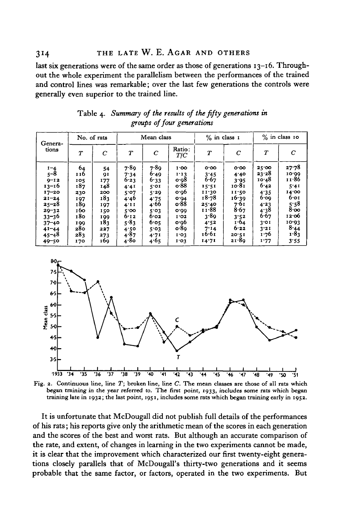last six generations were of the same order as those of generations  $13-16$ . Throughout the whole experiment the parallelism between the performances of the trained and control lines was remarkable; over the last few generations the controls were generally even superior to the trained line.

| Genera-<br>tions                                                                                                                                                 | No. of rats                                                                            |                                                                                       | Mean class                                                                                              |                                                                                                      |                                                                                                                  | $%$ in class $1$                                                                                            |                                                                                                           | $%$ in class 10                                                                                         |                                                                                                            |
|------------------------------------------------------------------------------------------------------------------------------------------------------------------|----------------------------------------------------------------------------------------|---------------------------------------------------------------------------------------|---------------------------------------------------------------------------------------------------------|------------------------------------------------------------------------------------------------------|------------------------------------------------------------------------------------------------------------------|-------------------------------------------------------------------------------------------------------------|-----------------------------------------------------------------------------------------------------------|---------------------------------------------------------------------------------------------------------|------------------------------------------------------------------------------------------------------------|
|                                                                                                                                                                  | $\tau$                                                                                 | $\overline{c}$                                                                        | $\boldsymbol{T}$                                                                                        | C                                                                                                    | Ratio:<br>T/C                                                                                                    | $\boldsymbol{T}$                                                                                            | C                                                                                                         | $\tau$                                                                                                  | $\mathcal{C}$                                                                                              |
| $1 - 4$<br>$5 - 8$<br>$9 - 12$<br>$13 - 16$<br>$17 - 20$<br>$21 - 24$<br>$25 - 28$<br>$29 - 32$<br>$33 - 36$<br>$37 - 40$<br>$41 - 44$<br>$45 - 48$<br>$49 - 50$ | 64<br>116<br>105<br>187<br>230<br>197<br>180<br>160<br>180<br>199<br>280<br>283<br>170 | 54<br>91<br>177<br>148<br>200<br>183<br>197<br>150<br>199<br>183<br>227<br>273<br>169 | 7.89<br>7.34<br>6.23<br>4.41<br>5.07<br>4.40<br>4'11<br>$5'$ OO<br>6.12<br>5.83<br>4.50<br>4.87<br>4.80 | 7.80<br>6.49<br>6.33<br>5.01<br>5.29<br>4.75<br>4.66<br>5.03<br>6.02<br>6.05<br>5.03<br>4.71<br>4.65 | 1.00<br>1.13<br>o·98<br>0.88<br>0.96<br>0.04<br>o.88<br>0.00<br>1.02<br>o·o6<br>o.8 <sub>9</sub><br>1.03<br>1.03 | o.oo<br>3.45<br>6.67<br>15:51<br>11.30<br>18.78<br>25.40<br>11.88<br>3.89<br>4.52<br>7.14<br>16.61<br>14.71 | 0.00<br>4.40<br>3.95<br>10.81<br>11.50<br>16.39<br>7.61<br>8.67<br>3.52<br>1.64<br>6.22<br>20.51<br>21.80 | 25'00<br>23.28<br>10.48<br>6.42<br>4.35<br>6.09<br>4.23<br>4.38<br>6.67<br>3'01<br>3'21<br>1.76<br>1.77 | 27.78<br>10.00<br>11∙86<br>5.41<br>14.00<br>6.01<br>5.58<br>8.00<br>12.06<br>10.93<br>8.44<br>1.83<br>3:55 |

Table 4. Summary of the results of the fifty generations in groups of four generations



Fig. 2. Continuous line, line T; broken line, line C. The mean classes are those of all rats which began training in the year referred to. The first point, 1933, includes some rats which began training late in 1932; the last point, 1951, includes some rats which began training early in 1952.

It is unfortunate that McDougall did not publish full details of the performances of his rats; his reports give only the arithmetic mean of the scores in each generation and the scores of the best and worst rats. But although an accurate comparison of the rate, and extent, of changes in learning in the two experiments cannot be made, it is clear that the improvement which characterized our first twenty-eight generations closely parallels that of McDougall's thirty-two generations and it seems probable that the same factor, or factors, operated in the two experiments. But

314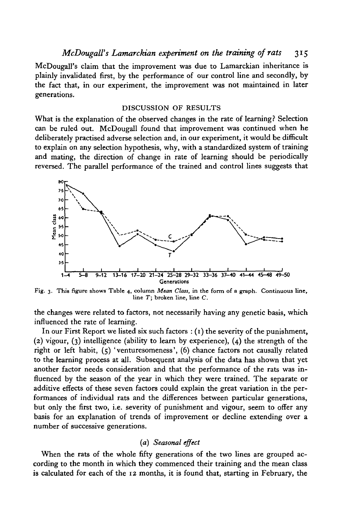McDougall's claim that the improvement was due to Lamarckian inheritance is plainly invalidated first, by the performance of our control line and secondly, by the fact that, in our experiment, the improvement was not maintained in later generations.

### DISCUSSION OF RESULTS

What is the explanation of the observed changes in the rate of learning? Selection can be ruled out. McDougall found that improvement was continued when he deliberately practised adverse selection and, in our experiment, it would be difficult to explain on any selection hypothesis, why, with a standardized system of training and mating, the direction of change in rate of learning should be periodically reversed. The parallel performance of the trained and control lines suggests that



Fig. 3. This figure shows Table 4, column *Mean Class,* in the form of a graph. Continuous line, line *T;* broken line, line C.

the changes were related to factors, not necessarily having any genetic basis, which influenced the rate of learning.

In our First Report we listed six such factors  $:(1)$  the severity of the punishment, (2) vigour, (3) intelligence (ability to learn by experience), (4) the strength of the right or left habit, (5) 'venturesomeness', (6) chance factors not causally related to the learning process at all. Subsequent analysis of the data has shown that yet another factor needs consideration and that the performance of the rats was influenced by the season of the year in which they were trained. The separate or additive effects of these seven factors could explain the great variation in the performances of individual rats and the differences between particular generations, but only the first two, i.e. severity of punishment and vigour, seem to offer any basis for an explanation of trends of improvement or decline extending over a number of successive generations.

### (a) *Seasonal effect*

When the rats of the whole fifty generations of the two lines are grouped according to the month in which they commenced their training and the mean class is calculated for each of the 12 months, it is found that, starting in February, the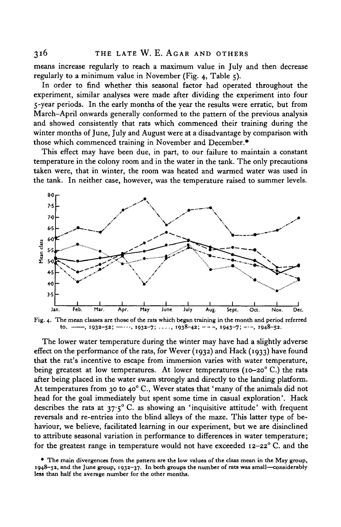means increase regularly to reach a maximum value in July and then decrease regularly to a minimum value in November (Fig. 4, Table 5).

In order to find whether this seasonal factor had operated throughout the experiment, similar analyses were made after dividing the experiment into four 5-year periods. In the early months of the year the results were erratic, but from March-April onwards generally conformed to the pattern of the previous analysis and showed consistently that rats which commenced their training during the winter months of June, July and August were at a disadvantage by comparison with those which commenced training in November and December.\*

This effect may have been due, in part, to our failure to maintain a constant temperature in the colony room and in the water in the tank. The only precautions taken were, that in winter, the room was heated and warmed water was used in the tank. In neither case, however, was the temperature raised to summer levels.

![](_page_9_Figure_4.jpeg)

**Fig. 4. The mean classes are those of the rats which began training in the month and period referred**  $\text{to.} \ \text{---}$ ,  $1932-52$ ;  $\text{---}$ ,  $1932-7$ ;  $\ldots$ ,  $1938-42$ ;  $\text{---}$ ,  $1943-7$ ;  $\text{---}$ ,  $1948-52$ .

The lower water temperature during the winter may have had a slightly adverse effect on the performance of the rats, for Wever (1932) and Hack (1933) have found that the rat's incentive to escape from immersion varies with water temperature, being greatest at low temperatures. At lower temperatures (10-20°C.) the rats after being placed in the water swam strongly and directly to the landing platform. At temperatures from 30 to 40° C., Wever states that 'many of the animals did not head for the goal immediately but spent some time in casual exploration'. Hack describes the rats at  $37.5^{\circ}$  C. as showing an 'inquisitive attitude' with frequent reversals and re-entries into the blind alleys of the maze. This latter type of behaviour, we believe, facilitated learning in our experiment, but we are disinclined to attribute seasonal variation in performance to differences in water temperature; for the greatest range in temperature would not have exceeded  $12-22^{\circ}$  C. and the

**<sup>•</sup> The main divergences from the pattern are the low values of the class mean in the May group, 1948-52, and the June group, 1932-37. In both groups the number of rats was small—considerably less than half the average number for the other months.**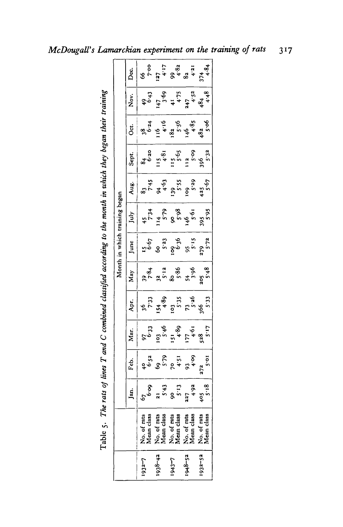| l                           |
|-----------------------------|
|                             |
|                             |
|                             |
|                             |
|                             |
|                             |
|                             |
|                             |
| i<br>Si                     |
|                             |
|                             |
|                             |
| $\vdots$                    |
| I                           |
|                             |
|                             |
| $\frac{1}{2}$<br>Ĩ          |
| ŗ<br>$\frac{1}{2}$<br>Table |

|  |     |                           | $\begin{array}{r l}\n & 0 & 0 \\  & 0 & 0 & 0 \\  & 0 & 0 & 0 & 0 \\  & 0 & 0 & 0 & 0 \\  & 0 & 0 & 0 & 0 & 0 \\  & 0 & 0 & 0 & 0 & 0 \\  & 0 & 0 & 0 & 0 & 0 \\  & 0 & 0 & 0 & 0 & 0 \\  & 0 & 0 & 0 & 0 & 0 \\  & 0 & 0 & 0 & 0 & 0 & 0 \\  & 0 & 0 & 0 & 0 & 0 & 0 \\  & 0 & 0 & 0 & 0 & 0 & 0 & 0 \\  & 0 & 0 & 0 & 0 & 0 & 0 & 0 \\  & 0 & $ |                                                                                                                                                                                                                                                                                                                                      |                           |                           |
|--|-----|---------------------------|---------------------------------------------------------------------------------------------------------------------------------------------------------------------------------------------------------------------------------------------------------------------------------------------------------------------------------------------------|--------------------------------------------------------------------------------------------------------------------------------------------------------------------------------------------------------------------------------------------------------------------------------------------------------------------------------------|---------------------------|---------------------------|
|  |     |                           | $\begin{array}{c cc} & 84 & 84 & 84 \\ \hline 6 & 84 & 84 & 85 \\ 11 & 11 & 13 & 89 \\ 13 & 11 & 13 & 89 \\ 15 & 13 & 13 & 89 \\ 16 & 13 & 13 & 89 \\ 17 & 13 & 13 & 89 \\ 18 & 13 & 13 & 89 \\ 19 & 13 & 13 & 89 \\ 10 & 13 & 13 & 89 \\ 11 & 14 & 15 & 89 \\ 16 & 13 & 13 & 89 \\ 19 & 13 & 13 & 89 \\ 10 &$                                    |                                                                                                                                                                                                                                                                                                                                      |                           |                           |
|  |     |                           | Aug.<br>$83$<br>$745$<br>$83$<br>$745$<br>$745$<br>$405$<br>$745$<br>$745$<br>$745$<br>$745$<br>$745$<br>$745$<br>$745$<br>$745$<br>$745$<br>$745$<br>$745$                                                                                                                                                                                       |                                                                                                                                                                                                                                                                                                                                      |                           |                           |
|  |     |                           |                                                                                                                                                                                                                                                                                                                                                   |                                                                                                                                                                                                                                                                                                                                      |                           |                           |
|  |     |                           | $\frac{1}{1}$ and $\frac{1}{5}$ $\frac{15}{5}$ $\frac{6}{5}$ $\frac{6}{5}$ $\frac{3}{5}$ $\frac{3}{5}$ $\frac{3}{5}$ $\frac{3}{5}$ $\frac{3}{5}$ $\frac{3}{5}$ $\frac{3}{5}$ $\frac{3}{5}$ $\frac{3}{5}$ $\frac{3}{5}$ $\frac{3}{5}$                                                                                                              |                                                                                                                                                                                                                                                                                                                                      |                           |                           |
|  |     |                           |                                                                                                                                                                                                                                                                                                                                                   |                                                                                                                                                                                                                                                                                                                                      |                           |                           |
|  | Āpr |                           | $\begin{array}{r l} \hline 36 & 33 \\ 733 & 33 \\ 154 & 39 \\ 133 & 35 \\ 148 & 335 \\ 133 & 35 \\ 133 & 36 \\ 133 & 36 \\ 133 & 36 \\ 133 & 36 \\ 133 & 36 \\ 133 & 36 \\ 133 & 36 \\ 133 & 36 \\ 133 & 36 \\ 133 & 37 \\ 134 & 38 \\ 135 & 39 \\ 139 & 39 \\ 139 & 39 \\ 139 & 39 \\ 139 & 39 \\ 139 & 39 \\ $                                  |                                                                                                                                                                                                                                                                                                                                      |                           |                           |
|  |     |                           |                                                                                                                                                                                                                                                                                                                                                   |                                                                                                                                                                                                                                                                                                                                      |                           |                           |
|  |     | Feb.                      |                                                                                                                                                                                                                                                                                                                                                   | $\left.\begin{array}{ccc} 1 & 0 & 0 & 0 \\ 0 & 0 & 0 & 0 \\ 0 & 0 & 0 & 0 \\ 0 & 0 & 0 & 0 \\ 0 & 0 & 0 & 0 \\ 0 & 0 & 0 & 0 \\ 0 & 0 & 0 & 0 \\ 0 & 0 & 0 & 0 \\ 0 & 0 & 0 & 0 \\ 0 & 0 & 0 & 0 \\ 0 & 0 & 0 & 0 \\ 0 & 0 & 0 & 0 \\ 0 & 0 & 0 & 0 \\ 0 & 0 & 0 & 0 \\ 0 & 0 & 0 & 0 \\ 0 & 0 & 0 & 0 \\ 0 & 0 & 0 & 0 \\ 0 & 0 & $ |                           |                           |
|  | g   |                           |                                                                                                                                                                                                                                                                                                                                                   |                                                                                                                                                                                                                                                                                                                                      |                           |                           |
|  |     | No. of rats<br>Mean class | No. of rats<br>Mean class                                                                                                                                                                                                                                                                                                                         | No. of rats<br>Mean class                                                                                                                                                                                                                                                                                                            | No. of rats<br>Mean class | No. of rats<br>Mean class |
|  |     | $1932 - 7$                | $1938 - 42$                                                                                                                                                                                                                                                                                                                                       | 1943-7                                                                                                                                                                                                                                                                                                                               | $1948 - 52$               | $1932 - 52$               |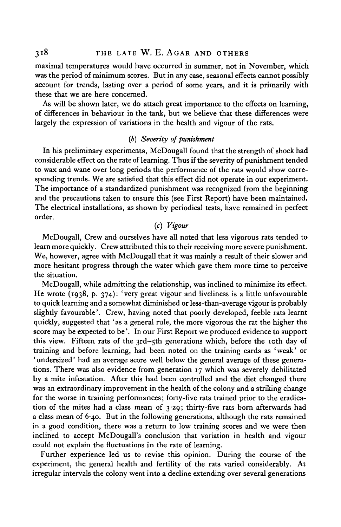maximal temperatures would have occurred in summer, not in November, which was the period of minimum scores. But in any case, seasonal effects cannot possibly account for trends, lasting over a period of some years, and it is primarily with these that we are here concerned.

As will be shown later, we do attach great importance to the effects on learning, of differences in behaviour in the tank, but we believe that these differences were largely the expression of variations in the health and vigour of the rats.

## *(b) Severity of punishment*

In his preliminary experiments, McDougall found that the strength of shock had considerable effect on the rate of learning. Thus if the severity of punishment tended to wax and wane over long periods the performance of the rats would show corresponding trends. We are satisfied that this effect did not operate in our experiment. The importance of a standardized punishment was recognized from the beginning and the precautions taken to ensure this (see First Report) have been maintained. The electrical installations, as shown by periodical tests, have remained in perfect order.

## (c) *Vigour*

McDougall, Crew and ourselves have all noted that less vigorous rats tended to learn more quickly. Crew attributed this to their receiving more severe punishment. We, however, agree with McDougall that it was mainly a result of their slower and more hesitant progress through the water which gave them more time to perceive the situation.

McDougall, while admitting the relationship, was inclined to minimize its effect. He wrote (1938, p. 374): 'very great vigour and liveliness is a little unfavourable to quick learning and a somewhat diminished or less-than-average vigour is probably slightly favourable'. Crew, having noted that poorly developed, feeble rats learnt quickly, suggested that ' as a general rule, the more vigorous the rat the higher the score may be expected to be'. In our First Report we produced evidence to support this view. Fifteen rats of the 3rd-5th generations which, before the 10th day of training and before learning, had been noted on the training cards as 'weak' or ' undersized' had an average score well below the general average of these generations. There was also evidence from generation 17 which was severely debilitated by a mite infestation. After this had been controlled and the diet changed there was an extraordinary improvement in the health of the colony and a striking change for the worse in training performances; forty-five rats trained prior to the eradication of the mites had a class mean of  $3.29$ ; thirty-five rats born afterwards had a class mean of 6-40. But in the following generations, although the rats remained in a good condition, there was a return to low training scores and we were then inclined to accept McDougall's conclusion that variation in health and vigour could not explain the fluctuations in the rate of learning.

Further experience led us to revise this opinion. During the course of the experiment, the general health and fertility of the rats varied considerably. At irregular intervals the colony went into a decline extending over several generations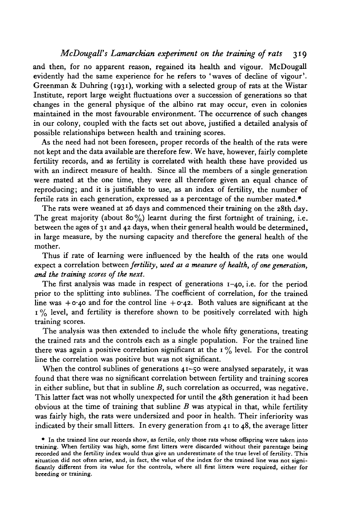### *McDougall's Lamarckian experiment on the training of rats* 319

and then, for no apparent reason, regained its health and vigour. McDougall evidently had the same experience for he refers to 'waves of decline of vigour'. Greenman & Duhring (1931), working with a selected group of rats at the Wistar Institute, report large weight fluctuations over a succession of generations so that changes in the general physique of the albino rat may occur, even in colonies maintained in the most favourable environment. The occurrence of such changes in our colony, coupled with the facts set out above, justified a detailed analysis of possible relationships between health and training scores.

As the need had not been foreseen, proper records of the health of the rats were not kept and the data available are therefore few. We have, however, fairly complete fertility records, and as fertility is correlated with health these have provided us with an indirect measure of health. Since all the members of a single generation were mated at the one time, they were all therefore given an equal chance of reproducing; and it is justifiable to use, as an index of fertility, the number of fertile rats in each generation, expressed as a percentage of the number mated.\*

The rats were weaned at 26 days and commenced their training on the 28th day. The great majority (about  $80\%$ ) learnt during the first fortnight of training, i.e. between the ages of 31 and 42 days, when their general health would be determined, in large measure, by the nursing capacity and therefore the general health of the mother.

Thus if rate of learning were influenced by the health of the rats one would expect a correlation between *fertility, used as a measure of health, of one generation, and the training scores of the next.*

The first analysis was made in respect of generations 1-40, i.e. for the period prior to the splitting into sublines. The coefficient of correlation, for the trained line was  $+o_4$ o and for the control line  $+o_4$ 2. Both values are significant at the  $1\%$  level, and fertility is therefore shown to be positively correlated with high training scores.

The analysis was then extended to include the whole fifty generations, treating the trained rats and the controls each as a single population. For the trained line there was again a positive correlation significant at the  $1\%$  level. For the control line the correlation was positive but was not significant.

When the control sublines of generations  $41-50$  were analysed separately, it was found that there was no significant correlation between fertility and training scores in either subline, but that in subline *B,* such correlation as occurred, was negative. This latter fact was not wholly unexpected for until the 48th generation it had been obvious at the time of training that subline *B* was atypical in that, while fertility was fairly high, the rats were undersized and poor in health. Their inferiority was indicated by their small litters. In every generation from 41 to 48, the average litter

<sup>•</sup> In the trained line our records show, as fertile, only those rats whose offspring were taken into training. When fertility was high, some first litters were discarded without their parentage being recorded and the fertility index would thus give an underestimate of the true level of fertility. This situation did not often arise, and, in fact, the value of the index for the trained line was not significantly differen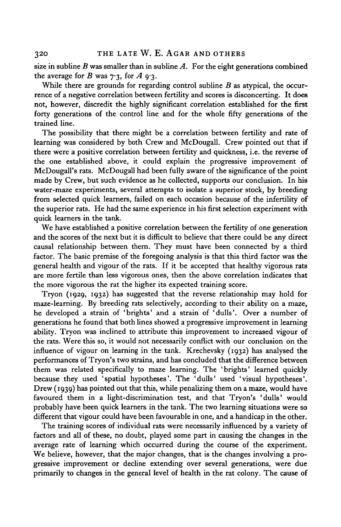size in subline  $B$  was smaller than in subline  $A$ . For the eight generations combined the average for *B* was  $7.3$ , for *A* 9.3.

While there are grounds for regarding control subline *B* as atypical, the occurrence of a negative correlation between fertility and scores is disconcerting. It does not, however, discredit the highly significant correlation established for the first forty generations of the control line and for the whole fifty generations of the trained line.

The possibility that there might be a correlation between fertility and rate of learning was considered by both Crew and McDougall. Crew pointed out that if there were a positive correlation between fertility and quickness, i.e. the reverse of the one established above, it could explain the progressive improvement of McDougall's rats. McDougall had been fully aware of the significance of the point made by Crew, but such evidence as he collected, supports our conclusion. In his water-maze experiments, several attempts to isolate a superior stock, by breeding from selected quick learners, failed on each occasion because of the infertility of the superior rats. He had the same experience in his first selection experiment with quick learners in the tank.

We have established a positive correlation between the fertility of one generation and the scores of the next but it is difficult to believe that there could be any direct causal relationship between them. They must have been connected by a third factor. The basic premise of the foregoing analysis is that this third factor was the general health and vigour of the rats. If it be accepted that healthy vigorous rats are more fertile than less vigorous ones, then the above correlation indicates that the more vigorous the rat the higher its expected training score.

Tryon (1929, 1932) has suggested that the reverse relationship may hold for maze-learning. By breeding rats selectively, according to their ability on a maze, he developed a strain of 'brights' and a strain of 'dulls'. Over a number of generations he found that both lines showed a progressive improvement in learning ability. Tryon was inclined to attribute this improvement to increased vigour of the rats. Were this so, it would not necessarily conflict with our conclusion on the influence of vigour on learning in the tank. Krechevsky (1932) has analysed the performances of Tryon's two strains, and has concluded that the difference between them was related specifically to maze learning. The 'brights' learned quickly because they used 'spatial hypotheses'. The 'dulls' used 'visual hypotheses'. Drew (1939) has pointed out that this, while penalizing them on a maze, would have favoured them in a light-discrimination test, and that Tryon's 'dulls' would probably have been quick learners in the tank. The two learning situations were so different that vigour could have been favourable in one, and a handicap in the other.

The training scores of individual rats were necessarily influenced by a variety of factors and all of these, no doubt, played some part in causing the changes in the average rate of learning which occurred during the course of the experiment. We believe, however, that the major changes, that is the changes involving a progressive improvement or decline extending over several generations, were due primarily to changes in the general level of health in the rat colony. The cause of